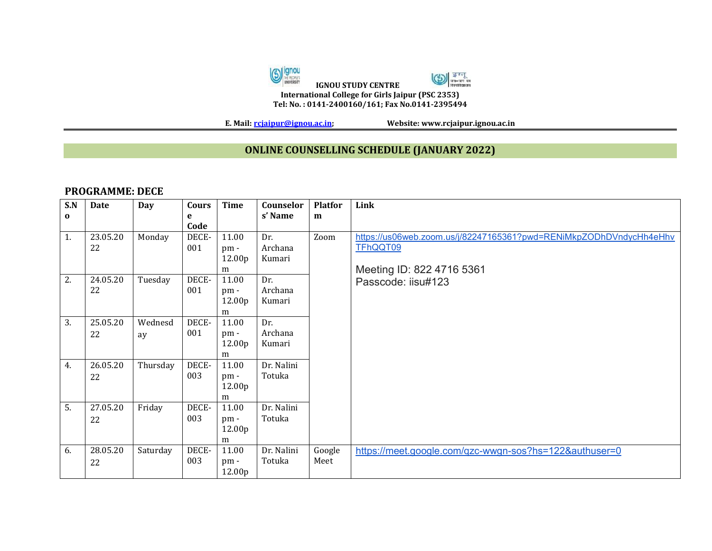

**E. Mail[: rcjaipur@ignou.ac.in;](mailto:rcjaipur@ignou.ac.in) Website: www.rcjaipur.ignou.ac.in**

## **ONLINE COUNSELLING SCHEDULE (JANUARY 2022)**

## **PROGRAMME: DECE**

| S.N<br>$\bf{0}$ | <b>Date</b>    | <b>Day</b>    | Cours<br>e   | <b>Time</b>                 | Counselor<br>s' Name     | <b>Platfor</b><br>m                                                 | Link                                                               |
|-----------------|----------------|---------------|--------------|-----------------------------|--------------------------|---------------------------------------------------------------------|--------------------------------------------------------------------|
|                 |                |               | Code         |                             |                          |                                                                     |                                                                    |
| 1.              | 23.05.20<br>22 | Monday        | DECE-<br>001 | 11.00<br>pm-<br>12.00p<br>m | Dr.<br>Archana<br>Kumari | Zoom<br>TFhQQT09<br>Meeting ID: 822 4716 5361<br>Passcode: iisu#123 | https://us06web.zoom.us/j/82247165361?pwd=RENiMkpZODhDVndycHh4eHhv |
| 2.              | 24.05.20<br>22 | Tuesday       | DECE-<br>001 | 11.00<br>pm-<br>12.00p<br>m | Dr.<br>Archana<br>Kumari |                                                                     |                                                                    |
| 3.              | 25.05.20<br>22 | Wednesd<br>ay | DECE-<br>001 | 11.00<br>pm-<br>12.00p<br>m | Dr.<br>Archana<br>Kumari |                                                                     |                                                                    |
| 4.              | 26.05.20<br>22 | Thursday      | DECE-<br>003 | 11.00<br>pm-<br>12.00p<br>m | Dr. Nalini<br>Totuka     |                                                                     |                                                                    |
| 5.              | 27.05.20<br>22 | Friday        | DECE-<br>003 | 11.00<br>pm-<br>12.00p<br>m | Dr. Nalini<br>Totuka     |                                                                     |                                                                    |
| 6.              | 28.05.20<br>22 | Saturday      | DECE-<br>003 | 11.00<br>pm-<br>12.00p      | Dr. Nalini<br>Totuka     | Google<br>Meet                                                      | https://meet.google.com/qzc-wwgn-sos?hs=122&authuser=0             |